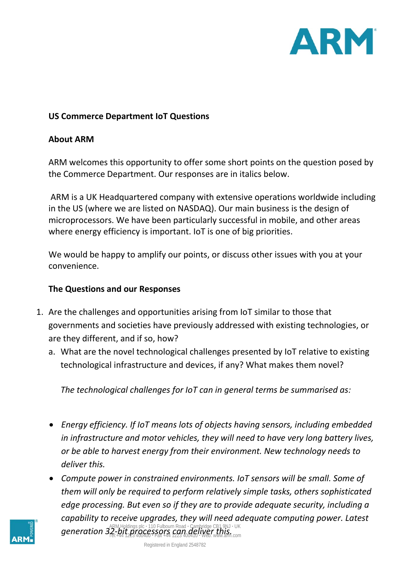

## **US Commerce Department IoT Questions**

## **About ARM**

ARM welcomes this opportunity to offer some short points on the question posed by the Commerce Department. Our responses are in italics below.

ARM is a UK Headquartered company with extensive operations worldwide including in the US (where we are listed on NASDAQ). Our main business is the design of microprocessors. We have been particularly successful in mobile, and other areas where energy efficiency is important. IoT is one of big priorities.

We would be happy to amplify our points, or discuss other issues with you at your convenience.

## **The Questions and our Responses**

- 1. Are the challenges and opportunities arising from IoT similar to those that governments and societies have previously addressed with existing technologies, or are they different, and if so, how?
	- a. What are the novel technological challenges presented by IoT relative to existing technological infrastructure and devices, if any? What makes them novel?

*The technological challenges for IoT can in general terms be summarised as:*

- *Energy efficiency. If IoT means lots of objects having sensors, including embedded in infrastructure and motor vehicles, they will need to have very long battery lives, or be able to harvest energy from their environment. New technology needs to deliver this.*
- ARM Holdings plc **·** 110 Fulbourn Road **·** Cambridge CB1 9NJ **·** UK generation 32-bit processors can deliver this.<br>The state of this www.arm.com and the state of this www.arm.com • *Compute power in constrained environments. IoT sensors will be small. Some of them will only be required to perform relatively simple tasks, others sophisticated edge processing. But even so if they are to provide adequate security, including a capability to receive upgrades, they will need adequate computing power. Latest*

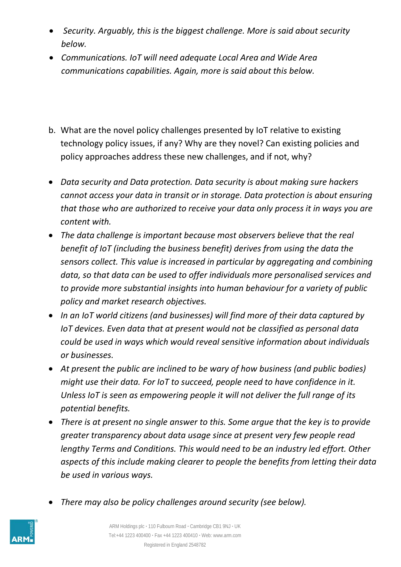- *Security. Arguably, this is the biggest challenge. More is said about security below.*
- *Communications. IoT will need adequate Local Area and Wide Area communications capabilities. Again, more is said about this below.*
- b. What are the novel policy challenges presented by IoT relative to existing technology policy issues, if any? Why are they novel? Can existing policies and policy approaches address these new challenges, and if not, why?
- *Data security and Data protection. Data security is about making sure hackers cannot access your data in transit or in storage. Data protection is about ensuring that those who are authorized to receive your data only process it in ways you are content with.*
- *The data challenge is important because most observers believe that the real benefit of IoT (including the business benefit) derives from using the data the sensors collect. This value is increased in particular by aggregating and combining data, so that data can be used to offer individuals more personalised services and to provide more substantial insights into human behaviour for a variety of public policy and market research objectives.*
- *In an IoT world citizens (and businesses) will find more of their data captured by IoT devices. Even data that at present would not be classified as personal data could be used in ways which would reveal sensitive information about individuals or businesses.*
- *At present the public are inclined to be wary of how business (and public bodies) might use their data. For IoT to succeed, people need to have confidence in it. Unless IoT is seen as empowering people it will not deliver the full range of its potential benefits.*
- *There is at present no single answer to this. Some argue that the key is to provide greater transparency about data usage since at present very few people read lengthy Terms and Conditions. This would need to be an industry led effort. Other aspects of this include making clearer to people the benefits from letting their data be used in various ways.*
- *There may also be policy challenges around security (see below).*

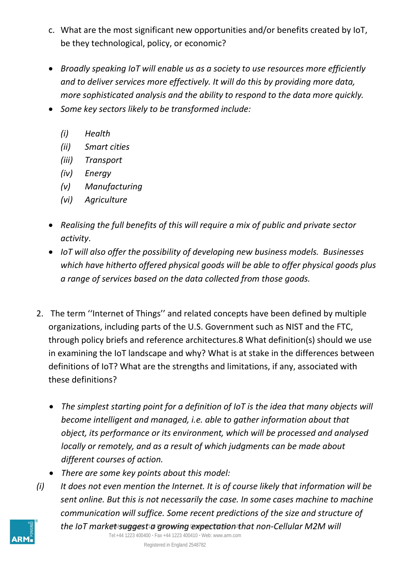- c. What are the most significant new opportunities and/or benefits created by IoT, be they technological, policy, or economic?
- *Broadly speaking IoT will enable us as a society to use resources more efficiently and to deliver services more effectively. It will do this by providing more data, more sophisticated analysis and the ability to respond to the data more quickly.*
- *Some key sectors likely to be transformed include:*
	- *(i) Health*
	- *(ii) Smart cities*
	- *(iii) Transport*
	- *(iv) Energy*
	- *(v) Manufacturing*
	- *(vi) Agriculture*
- *Realising the full benefits of this will require a mix of public and private sector activity*.
- *IoT will also offer the possibility of developing new business models. Businesses which have hitherto offered physical goods will be able to offer physical goods plus a range of services based on the data collected from those goods.*
- 2. The term ''Internet of Things'' and related concepts have been defined by multiple organizations, including parts of the U.S. Government such as NIST and the FTC, through policy briefs and reference architectures.8 What definition(s) should we use in examining the IoT landscape and why? What is at stake in the differences between definitions of IoT? What are the strengths and limitations, if any, associated with these definitions?
	- *The simplest starting point for a definition of IoT is the idea that many objects will become intelligent and managed, i.e. able to gather information about that object, its performance or its environment, which will be processed and analysed locally or remotely, and as a result of which judgments can be made about different courses of action.*
	- *There are some key points about this model:*
- the IoT market suggest a growing expectation that non-Cellular M2M will *(i) It does not even mention the Internet. It is of course likely that information will be sent online. But this is not necessarily the case. In some cases machine to machine communication will suffice. Some recent predictions of the size and structure of*

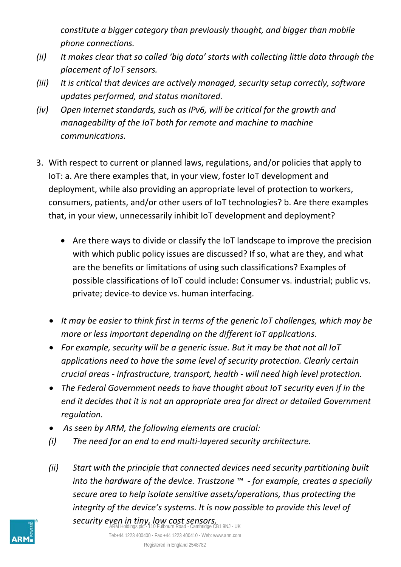*constitute a bigger category than previously thought, and bigger than mobile phone connections.*

- *(ii) It makes clear that so called 'big data' starts with collecting little data through the placement of IoT sensors.*
- *(iii) It is critical that devices are actively managed, security setup correctly, software updates performed, and status monitored.*
- *(iv) Open Internet standards, such as IPv6, will be critical for the growth and manageability of the IoT both for remote and machine to machine communications.*
- 3. With respect to current or planned laws, regulations, and/or policies that apply to IoT: a. Are there examples that, in your view, foster IoT development and deployment, while also providing an appropriate level of protection to workers, consumers, patients, and/or other users of IoT technologies? b. Are there examples that, in your view, unnecessarily inhibit IoT development and deployment?
	- Are there ways to divide or classify the IoT landscape to improve the precision with which public policy issues are discussed? If so, what are they, and what are the benefits or limitations of using such classifications? Examples of possible classifications of IoT could include: Consumer vs. industrial; public vs. private; device-to device vs. human interfacing.
	- *It may be easier to think first in terms of the generic IoT challenges, which may be more or less important depending on the different IoT applications.*
	- *For example, security will be a generic issue. But it may be that not all IoT applications need to have the same level of security protection. Clearly certain crucial areas - infrastructure, transport, health - will need high level protection.*
	- *The Federal Government needs to have thought about IoT security even if in the end it decides that it is not an appropriate area for direct or detailed Government regulation.*
	- *As seen by ARM, the following elements are crucial:*
	- *(i) The need for an end to end multi-layered security architecture.*
	- *(ii) Start with the principle that connected devices need security partitioning built into the hardware of the device. Trustzone ™ - for example, creates a specially secure area to help isolate sensitive assets/operations, thus protecting the integrity of the device's systems. It is now possible to provide this level of*

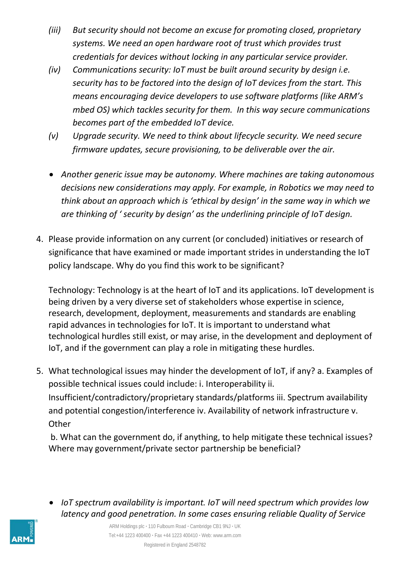- *(iii) But security should not become an excuse for promoting closed, proprietary systems. We need an open hardware root of trust which provides trust credentials for devices without locking in any particular service provider.*
- *(iv) Communications security: IoT must be built around security by design i.e. security has to be factored into the design of IoT devices from the start. This means encouraging device developers to use software platforms (like ARM's mbed OS) which tackles security for them. In this way secure communications becomes part of the embedded IoT device.*
- *(v) Upgrade security. We need to think about lifecycle security. We need secure firmware updates, secure provisioning, to be deliverable over the air.*
- *Another generic issue may be autonomy. Where machines are taking autonomous decisions new considerations may apply. For example, in Robotics we may need to think about an approach which is 'ethical by design' in the same way in which we are thinking of ' security by design' as the underlining principle of IoT design.*
- 4. Please provide information on any current (or concluded) initiatives or research of significance that have examined or made important strides in understanding the IoT policy landscape. Why do you find this work to be significant?

Technology: Technology is at the heart of IoT and its applications. IoT development is being driven by a very diverse set of stakeholders whose expertise in science, research, development, deployment, measurements and standards are enabling rapid advances in technologies for IoT. It is important to understand what technological hurdles still exist, or may arise, in the development and deployment of IoT, and if the government can play a role in mitigating these hurdles.

5. What technological issues may hinder the development of IoT, if any? a. Examples of possible technical issues could include: i. Interoperability ii. Insufficient/contradictory/proprietary standards/platforms iii. Spectrum availability and potential congestion/interference iv. Availability of network infrastructure v. **Other** 

b. What can the government do, if anything, to help mitigate these technical issues? Where may government/private sector partnership be beneficial?

• *IoT spectrum availability is important. IoT will need spectrum which provides low latency and good penetration. In some cases ensuring reliable Quality of Service* 

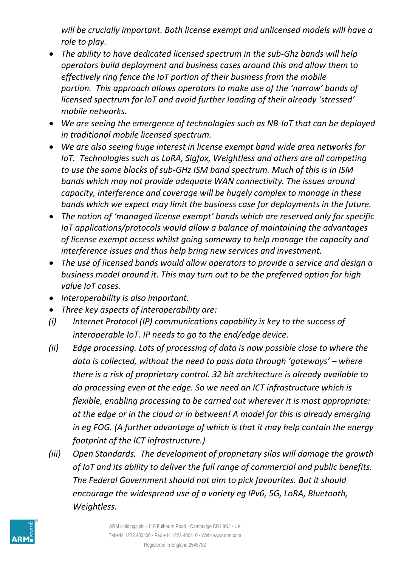*will be crucially important. Both license exempt and unlicensed models will have a role to play.* 

- *The ability to have dedicated licensed spectrum in the sub-Ghz bands will help operators build deployment and business cases around this and allow them to effectively ring fence the IoT portion of their business from the mobile portion. This approach allows operators to make use of the 'narrow' bands of licensed spectrum for IoT and avoid further loading of their already 'stressed' mobile networks.*
- *We are seeing the emergence of technologies such as NB-IoT that can be deployed in traditional mobile licensed spectrum.*
- *We are also seeing huge interest in license exempt band wide area networks for IoT. Technologies such as LoRA, Sigfox, Weightless and others are all competing to use the same blocks of sub-GHz ISM band spectrum. Much of this is in ISM bands which may not provide adequate WAN connectivity. The issues around capacity, interference and coverage will be hugely complex to manage in these bands which we expect may limit the business case for deployments in the future.*
- *The notion of 'managed license exempt' bands which are reserved only for specific IoT applications/protocols would allow a balance of maintaining the advantages of license exempt access whilst going someway to help manage the capacity and interference issues and thus help bring new services and investment.*
- *The use of licensed bands would allow operators to provide a service and design a business model around it. This may turn out to be the preferred option for high value IoT cases.*
- *Interoperability is also important.*
- *Three key aspects of interoperability are:*
- *(i) Internet Protocol (IP) communications capability is key to the success of interoperable IoT. IP needs to go to the end/edge device.*
- *(ii) Edge processing. Lots of processing of data is now possible close to where the data is collected, without the need to pass data through 'gateways' – where there is a risk of proprietary control. 32 bit architecture is already available to do processing even at the edge. So we need an ICT infrastructure which is flexible, enabling processing to be carried out wherever it is most appropriate: at the edge or in the cloud or in between! A model for this is already emerging in eg FOG. (A further advantage of which is that it may help contain the energy footprint of the ICT infrastructure.)*
- *(iii) Open Standards. The development of proprietary silos will damage the growth of IoT and its ability to deliver the full range of commercial and public benefits. The Federal Government should not aim to pick favourites. But it should encourage the widespread use of a variety eg IPv6, 5G, LoRA, Bluetooth, Weightless.*

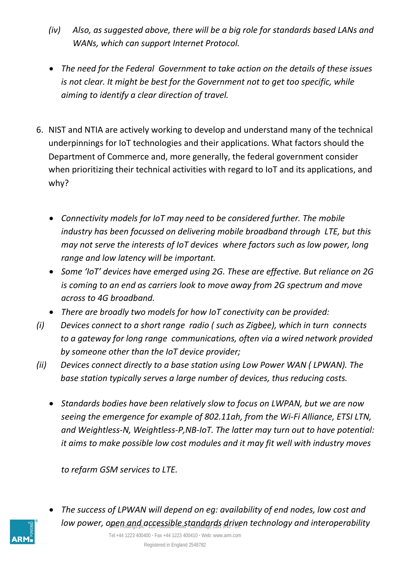- *(iv) Also, as suggested above, there will be a big role for standards based LANs and WANs, which can support Internet Protocol.*
- *The need for the Federal Government to take action on the details of these issues is not clear. It might be best for the Government not to get too specific, while aiming to identify a clear direction of travel.*
- 6. NIST and NTIA are actively working to develop and understand many of the technical underpinnings for IoT technologies and their applications. What factors should the Department of Commerce and, more generally, the federal government consider when prioritizing their technical activities with regard to IoT and its applications, and why?
	- *Connectivity models for IoT may need to be considered further. The mobile industry has been focussed on delivering mobile broadband through LTE, but this may not serve the interests of IoT devices where factors such as low power, long range and low latency will be important.*
	- *Some 'IoT' devices have emerged using 2G. These are effective. But reliance on 2G is coming to an end as carriers look to move away from 2G spectrum and move across to 4G broadband.*
	- *There are broadly two models for how IoT conectivity can be provided:*
- *(i) Devices connect to a short range radio ( such as Zigbee), which in turn connects to a gateway for long range communications, often via a wired network provided by someone other than the IoT device provider;*
- *(ii) Devices connect directly to a base station using Low Power WAN ( LPWAN). The base station typically serves a large number of devices, thus reducing costs.*
	- *Standards bodies have been relatively slow to focus on LWPAN, but we are now seeing the emergence for example of 802.11ah, from the Wi-Fi Alliance, ETSI LTN, and Weightless-N, Weightless-P,NB-IoT. The latter may turn out to have potential: it aims to make possible low cost modules and it may fit well with industry moves*

*to refarm GSM services to LTE.*

- 
- ARM Holdings plc **·** 110 Fulbourn Road **·** Cambridge CB1 9NJ **·** UK *low power, open and accessible standards driven technology and interoperability* • *The success of LPWAN will depend on eg: availability of end nodes, low cost and*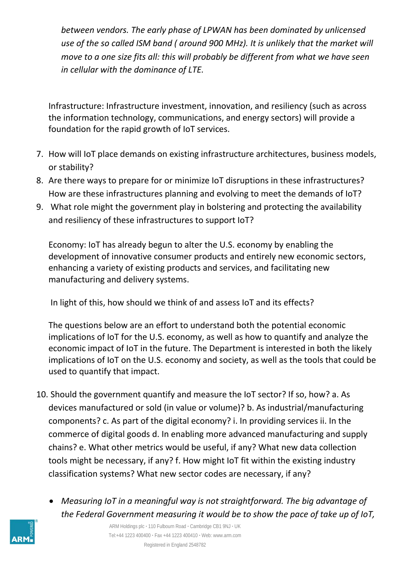*between vendors. The early phase of LPWAN has been dominated by unlicensed use of the so called ISM band ( around 900 MHz). It is unlikely that the market will move to a one size fits all: this will probably be different from what we have seen in cellular with the dominance of LTE.* 

Infrastructure: Infrastructure investment, innovation, and resiliency (such as across the information technology, communications, and energy sectors) will provide a foundation for the rapid growth of IoT services.

- 7. How will IoT place demands on existing infrastructure architectures, business models, or stability?
- 8. Are there ways to prepare for or minimize IoT disruptions in these infrastructures? How are these infrastructures planning and evolving to meet the demands of IoT?
- 9. What role might the government play in bolstering and protecting the availability and resiliency of these infrastructures to support IoT?

Economy: IoT has already begun to alter the U.S. economy by enabling the development of innovative consumer products and entirely new economic sectors, enhancing a variety of existing products and services, and facilitating new manufacturing and delivery systems.

In light of this, how should we think of and assess IoT and its effects?

The questions below are an effort to understand both the potential economic implications of IoT for the U.S. economy, as well as how to quantify and analyze the economic impact of IoT in the future. The Department is interested in both the likely implications of IoT on the U.S. economy and society, as well as the tools that could be used to quantify that impact.

- 10. Should the government quantify and measure the IoT sector? If so, how? a. As devices manufactured or sold (in value or volume)? b. As industrial/manufacturing components? c. As part of the digital economy? i. In providing services ii. In the commerce of digital goods d. In enabling more advanced manufacturing and supply chains? e. What other metrics would be useful, if any? What new data collection tools might be necessary, if any? f. How might IoT fit within the existing industry classification systems? What new sector codes are necessary, if any?
	- *Measuring IoT in a meaningful way is not straightforward. The big advantage of the Federal Government measuring it would be to show the pace of take up of IoT,*



ARM Holdings plc **·** 110 Fulbourn Road **·** Cambridge CB1 9NJ **·** UK Tel:+44 1223 400400 **·** Fax +44 1223 400410 **·** Web: www.arm.com Registered in England 2548782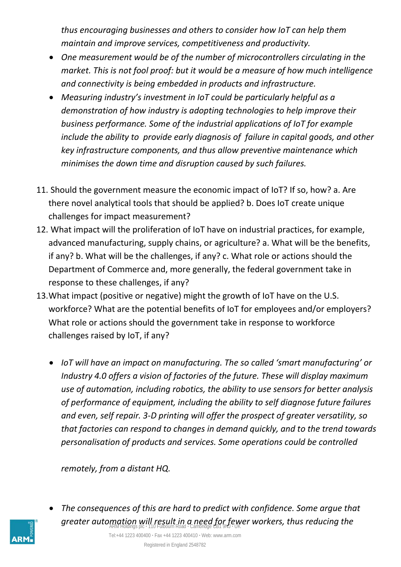*thus encouraging businesses and others to consider how IoT can help them maintain and improve services, competitiveness and productivity.*

- *One measurement would be of the number of microcontrollers circulating in the market. This is not fool proof: but it would be a measure of how much intelligence and connectivity is being embedded in products and infrastructure.*
- *Measuring industry's investment in IoT could be particularly helpful as a demonstration of how industry is adopting technologies to help improve their business performance. Some of the industrial applications of IoT for example include the ability to provide early diagnosis of failure in capital goods, and other key infrastructure components, and thus allow preventive maintenance which minimises the down time and disruption caused by such failures.*
- 11. Should the government measure the economic impact of IoT? If so, how? a. Are there novel analytical tools that should be applied? b. Does IoT create unique challenges for impact measurement?
- 12. What impact will the proliferation of IoT have on industrial practices, for example, advanced manufacturing, supply chains, or agriculture? a. What will be the benefits, if any? b. What will be the challenges, if any? c. What role or actions should the Department of Commerce and, more generally, the federal government take in response to these challenges, if any?
- 13.What impact (positive or negative) might the growth of IoT have on the U.S. workforce? What are the potential benefits of IoT for employees and/or employers? What role or actions should the government take in response to workforce challenges raised by IoT, if any?
	- *IoT will have an impact on manufacturing. The so called 'smart manufacturing' or Industry 4.0 offers a vision of factories of the future. These will display maximum use of automation, including robotics, the ability to use sensors for better analysis of performance of equipment, including the ability to self diagnose future failures and even, self repair. 3-D printing will offer the prospect of greater versatility, so that factories can respond to changes in demand quickly, and to the trend towards personalisation of products and services. Some operations could be controlled*

*remotely, from a distant HQ.*



greater automation will result in a need for fewer workers, thus reducing the • *The consequences of this are hard to predict with confidence. Some argue that*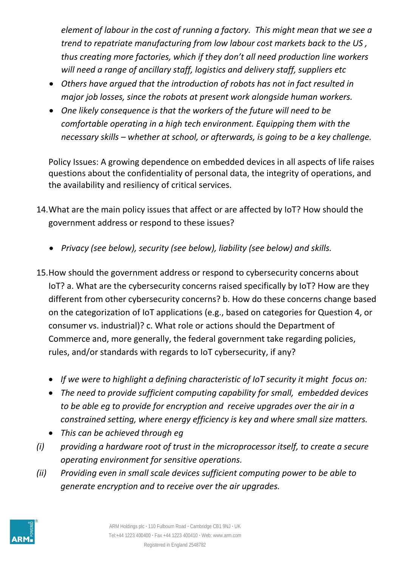*element of labour in the cost of running a factory. This might mean that we see a trend to repatriate manufacturing from low labour cost markets back to the US , thus creating more factories, which if they don't all need production line workers will need a range of ancillary staff, logistics and delivery staff, suppliers etc*

- *Others have argued that the introduction of robots has not in fact resulted in major job losses, since the robots at present work alongside human workers.*
- *One likely consequence is that the workers of the future will need to be comfortable operating in a high tech environment. Equipping them with the necessary skills – whether at school, or afterwards, is going to be a key challenge.*

Policy Issues: A growing dependence on embedded devices in all aspects of life raises questions about the confidentiality of personal data, the integrity of operations, and the availability and resiliency of critical services.

- 14.What are the main policy issues that affect or are affected by IoT? How should the government address or respond to these issues?
	- *Privacy (see below), security (see below), liability (see below) and skills.*
- 15.How should the government address or respond to cybersecurity concerns about IoT? a. What are the cybersecurity concerns raised specifically by IoT? How are they different from other cybersecurity concerns? b. How do these concerns change based on the categorization of IoT applications (e.g., based on categories for Question 4, or consumer vs. industrial)? c. What role or actions should the Department of Commerce and, more generally, the federal government take regarding policies, rules, and/or standards with regards to IoT cybersecurity, if any?
	- *If we were to highlight a defining characteristic of IoT security it might focus on:*
	- *The need to provide sufficient computing capability for small, embedded devices to be able eg to provide for encryption and receive upgrades over the air in a constrained setting, where energy efficiency is key and where small size matters.*
	- *This can be achieved through eg*
- *(i) providing a hardware root of trust in the microprocessor itself, to create a secure operating environment for sensitive operations.*
- *(ii) Providing even in small scale devices sufficient computing power to be able to generate encryption and to receive over the air upgrades.*

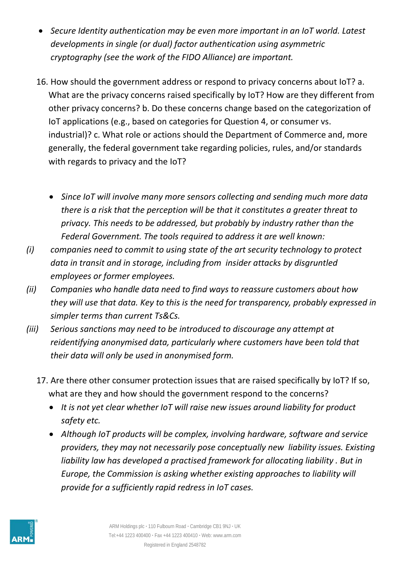- *Secure Identity authentication may be even more important in an IoT world. Latest developments in single (or dual) factor authentication using asymmetric cryptography (see the work of the FIDO Alliance) are important.*
- 16. How should the government address or respond to privacy concerns about IoT? a. What are the privacy concerns raised specifically by IoT? How are they different from other privacy concerns? b. Do these concerns change based on the categorization of IoT applications (e.g., based on categories for Question 4, or consumer vs. industrial)? c. What role or actions should the Department of Commerce and, more generally, the federal government take regarding policies, rules, and/or standards with regards to privacy and the IoT?
	- *Since IoT will involve many more sensors collecting and sending much more data there is a risk that the perception will be that it constitutes a greater threat to privacy. This needs to be addressed, but probably by industry rather than the Federal Government. The tools required to address it are well known:*
- *(i) companies need to commit to using state of the art security technology to protect data in transit and in storage, including from insider attacks by disgruntled employees or former employees.*
- *(ii) Companies who handle data need to find ways to reassure customers about how they will use that data. Key to this is the need for transparency, probably expressed in simpler terms than current Ts&Cs.*
- *(iii) Serious sanctions may need to be introduced to discourage any attempt at reidentifying anonymised data, particularly where customers have been told that their data will only be used in anonymised form.*
	- 17. Are there other consumer protection issues that are raised specifically by IoT? If so, what are they and how should the government respond to the concerns?
		- *It is not yet clear whether IoT will raise new issues around liability for product safety etc.*
		- *Although IoT products will be complex, involving hardware, software and service providers, they may not necessarily pose conceptually new liability issues. Existing liability law has developed a practised framework for allocating liability . But in Europe, the Commission is asking whether existing approaches to liability will provide for a sufficiently rapid redress in IoT cases.*

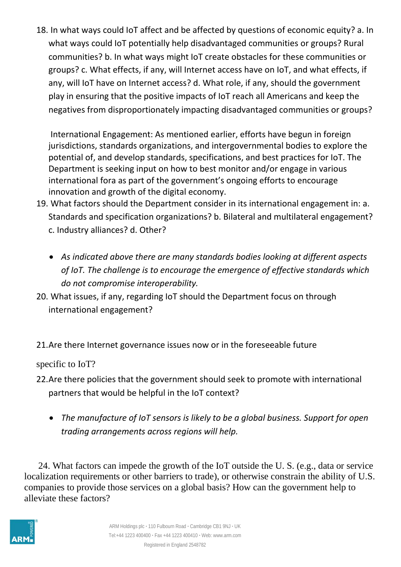18. In what ways could IoT affect and be affected by questions of economic equity? a. In what ways could IoT potentially help disadvantaged communities or groups? Rural communities? b. In what ways might IoT create obstacles for these communities or groups? c. What effects, if any, will Internet access have on IoT, and what effects, if any, will IoT have on Internet access? d. What role, if any, should the government play in ensuring that the positive impacts of IoT reach all Americans and keep the negatives from disproportionately impacting disadvantaged communities or groups?

International Engagement: As mentioned earlier, efforts have begun in foreign jurisdictions, standards organizations, and intergovernmental bodies to explore the potential of, and develop standards, specifications, and best practices for IoT. The Department is seeking input on how to best monitor and/or engage in various international fora as part of the government's ongoing efforts to encourage innovation and growth of the digital economy.

- 19. What factors should the Department consider in its international engagement in: a. Standards and specification organizations? b. Bilateral and multilateral engagement? c. Industry alliances? d. Other?
	- *As indicated above there are many standards bodies looking at different aspects of IoT. The challenge is to encourage the emergence of effective standards which do not compromise interoperability.*
- 20. What issues, if any, regarding IoT should the Department focus on through international engagement?
- 21.Are there Internet governance issues now or in the foreseeable future

specific to IoT?

- 22.Are there policies that the government should seek to promote with international partners that would be helpful in the IoT context?
	- *The manufacture of IoT sensors is likely to be a global business. Support for open trading arrangements across regions will help.*

 24. What factors can impede the growth of the IoT outside the U. S. (e.g., data or service localization requirements or other barriers to trade), or otherwise constrain the ability of U.S. companies to provide those services on a global basis? How can the government help to alleviate these factors?